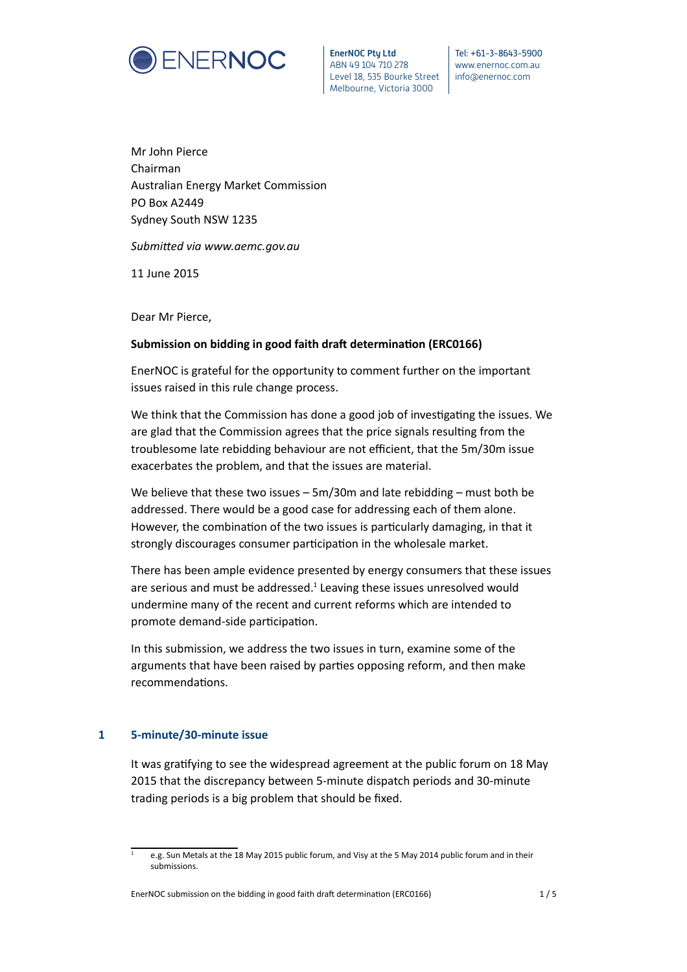

EnerNOC Pty Ltd ABN 49 104 710 278 Level 18, 535 Bourke Street Melbourne, Victoria 3000

Tel: +61-3-8643-5900 www.enernoc.com.au info@enernoc.com

Mr John Pierce Chairman Australian Energy Market Commission PO Box A2449 Sydney South NSW 1235

Submitted via www.aemc.gov.au

11 June 2015

Dear Mr Pierce,

# **Submission on bidding in good faith draft determination (ERC0166)**

EnerNOC is grateful for the opportunity to comment further on the important issues raised in this rule change process.

We think that the Commission has done a good job of investigating the issues. We are glad that the Commission agrees that the price signals resulting from the troublesome late rebidding behaviour are not efficient, that the 5m/30m issue exacerbates the problem, and that the issues are material.

We believe that these two issues – 5m/30m and late rebidding – must both be addressed. There would be a good case for addressing each of them alone. However, the combination of the two issues is particularly damaging, in that it strongly discourages consumer participation in the wholesale market.

There has been ample evidence presented by energy consumers that these issues are serious and must be addressed.<sup>1</sup> Leaving these issues unresolved would undermine many of the recent and current reforms which are intended to promote demand-side participation.

In this submission, we address the two issues in turn, examine some of the arguments that have been raised by parties opposing reform, and then make recommendations.

# **1 5-minute/30-minute issue**

It was gratifying to see the widespread agreement at the public forum on 18 May 2015 that the discrepancy between 5-minute dispatch periods and 30-minute trading periods is a big problem that should be fixed.

EnerNOC submission on the bidding in good faith draft determination (ERC0166)  $1/5$ 

<span id="page-0-0"></span>e.g. Sun Metals at the 18 May 2015 public forum, and Visy at the 5 May 2014 public forum and in their submissions.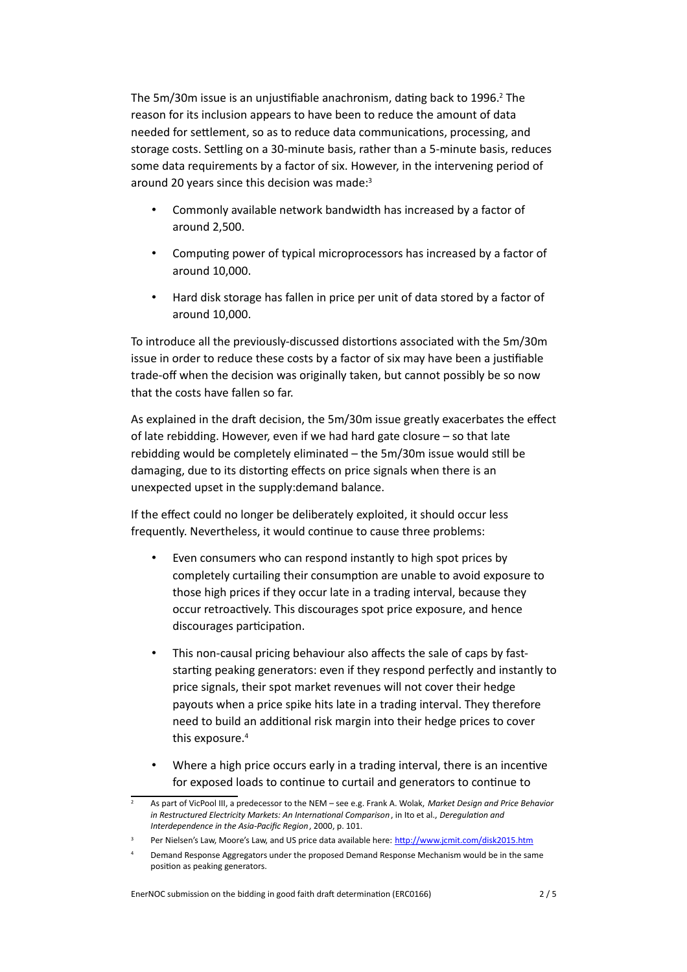The 5m/30m issue is an unjustifiable anachronism, dating back to 1996.<sup>2</sup> The reason for its inclusion appears to have been to reduce the amount of data needed for settlement, so as to reduce data communications, processing, and storage costs. Settling on a 30-minute basis, rather than a 5-minute basis, reduces some data requirements by a factor of six. However, in the intervening period of around 20 years since this decision was made[:3](#page-1-1)

- Commonly available network bandwidth has increased by a factor of around 2,500.
- Computing power of typical microprocessors has increased by a factor of around 10,000.
- Hard disk storage has fallen in price per unit of data stored by a factor of around 10,000.

To introduce all the previously-discussed distortions associated with the 5m/30m issue in order to reduce these costs by a factor of six may have been a justifiable trade-off when the decision was originally taken, but cannot possibly be so now that the costs have fallen so far.

As explained in the draft decision, the 5m/30m issue greatly exacerbates the effect of late rebidding. However, even if we had hard gate closure – so that late rebidding would be completely eliminated  $-$  the 5m/30m issue would still be damaging, due to its distorting effects on price signals when there is an unexpected upset in the supply:demand balance.

If the effect could no longer be deliberately exploited, it should occur less frequently. Nevertheless, it would continue to cause three problems:

- Even consumers who can respond instantly to high spot prices by completely curtailing their consumption are unable to avoid exposure to those high prices if they occur late in a trading interval, because they occur retroactively. This discourages spot price exposure, and hence discourages participation.
- This non-causal pricing behaviour also affects the sale of caps by faststarting peaking generators: even if they respond perfectly and instantly to price signals, their spot market revenues will not cover their hedge payouts when a price spike hits late in a trading interval. They therefore need to build an additional risk margin into their hedge prices to cover this exposure.<sup>4</sup>
- Where a high price occurs early in a trading interval, there is an incentive for exposed loads to continue to curtail and generators to continue to

EnerNOC submission on the bidding in good faith draft determination (ERC0166)  $\frac{2}{5}$ 

<span id="page-1-0"></span><sup>2</sup> As part of VicPool III, a predecessor to the NEM – see e.g. Frank A. Wolak, *Market Design and Price Behavior in Restructured Electricity Markets: An International Comparison*, in Ito et al., *Deregulation and Interdependence in the Asia-Pacific Region*, 2000, p. 101.

<span id="page-1-1"></span>Per Nielsen's Law, Moore's Law, and US price data available here: http://www.jcmit.com/disk2015.htm

<span id="page-1-2"></span><sup>4</sup> Demand Response Aggregators under the proposed Demand Response Mechanism would be in the same position as peaking generators.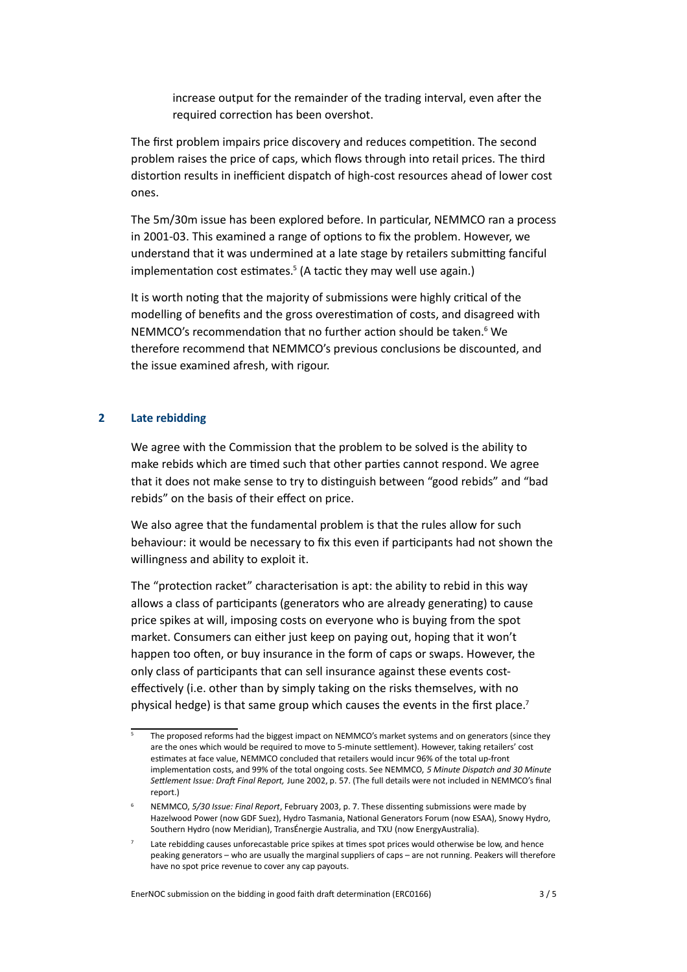increase output for the remainder of the trading interval, even after the required correction has been overshot.

The first problem impairs price discovery and reduces competition. The second problem raises the price of caps, which flows through into retail prices. The third distortion results in inefficient dispatch of high-cost resources ahead of lower cost ones.

The 5m/30m issue has been explored before. In particular, NEMMCO ran a process in 2001-03. This examined a range of options to fix the problem. However, we understand that it was undermined at a late stage by retailers submitting fanciful implementation cost estimates.<sup>5</sup> (A tactic they may well use again.)

It is worth noting that the majority of submissions were highly critical of the modelling of benefits and the gross overestimation of costs, and disagreed with NEMMCO's recommendation that no further action should be taken.<sup>6</sup> We therefore recommend that NEMMCO's previous conclusions be discounted, and the issue examined afresh, with rigour.

### **2 Late rebidding**

We agree with the Commission that the problem to be solved is the ability to make rebids which are timed such that other parties cannot respond. We agree that it does not make sense to try to distinguish between "good rebids" and "bad rebids" on the basis of their effect on price.

We also agree that the fundamental problem is that the rules allow for such behaviour: it would be necessary to fix this even if participants had not shown the willingness and ability to exploit it.

The "protection racket" characterisation is apt: the ability to rebid in this way allows a class of participants (generators who are already generating) to cause price spikes at will, imposing costs on everyone who is buying from the spot market. Consumers can either just keep on paying out, hoping that it won't happen too often, or buy insurance in the form of caps or swaps. However, the only class of participants that can sell insurance against these events costeffectively (i.e. other than by simply taking on the risks themselves, with no physical hedge) is that same group which causes the events in the first place.<sup>7</sup>

EnerNOC submission on the bidding in good faith draft determination (ERC0166) 3/5

<span id="page-2-0"></span>The proposed reforms had the biggest impact on NEMMCO's market systems and on generators (since they are the ones which would be required to move to 5-minute settlement). However, taking retailers' cost estimates at face value, NEMMCO concluded that retailers would incur 96% of the total up-front implementation costs, and 99% of the total ongoing costs. See NEMMCO, 5 Minute Dispatch and 30 Minute Settlement Issue: Draft Final Report, June 2002, p. 57. (The full details were not included in NEMMCO's final report.)

<span id="page-2-1"></span>NEMMCO, 5/30 Issue: Final Report, February 2003, p. 7. These dissenting submissions were made by Hazelwood Power (now GDF Suez), Hydro Tasmania, National Generators Forum (now ESAA), Snowy Hydro, Southern Hydro (now Meridian), TransÉnergie Australia, and TXU (now EnergyAustralia).

<span id="page-2-2"></span>Late rebidding causes unforecastable price spikes at times spot prices would otherwise be low, and hence peaking generators – who are usually the marginal suppliers of caps – are not running. Peakers will therefore have no spot price revenue to cover any cap payouts.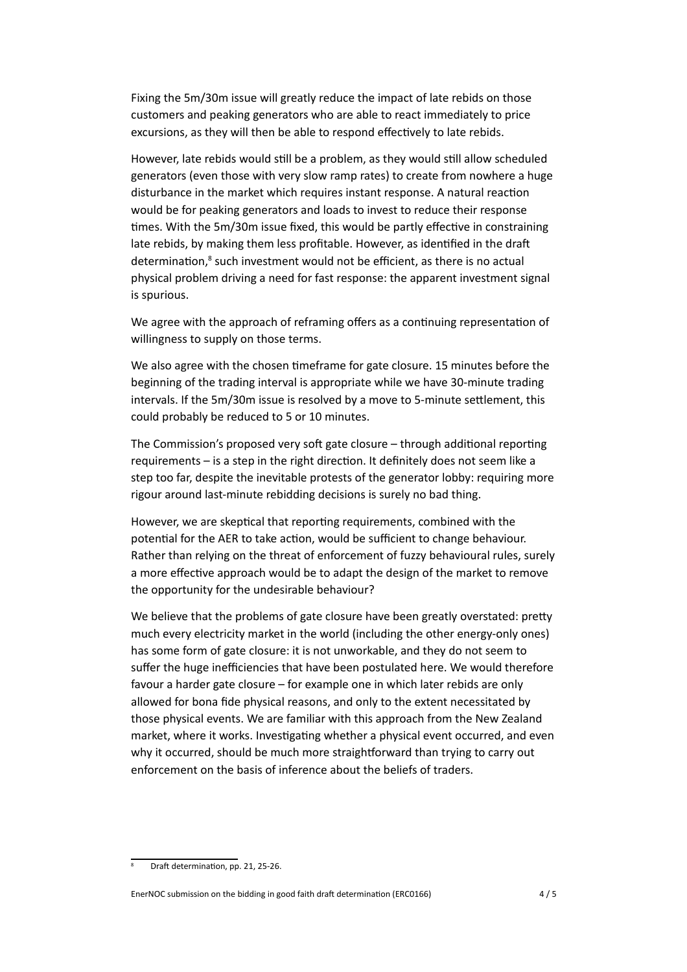Fixing the 5m/30m issue will greatly reduce the impact of late rebids on those customers and peaking generators who are able to react immediately to price excursions, as they will then be able to respond effectively to late rebids.

However, late rebids would still be a problem, as they would still allow scheduled generators (even those with very slow ramp rates) to create from nowhere a huge disturbance in the market which requires instant response. A natural reaction would be for peaking generators and loads to invest to reduce their response times. With the 5m/30m issue fixed, this would be partly effective in constraining late rebids, by making them less profitable. However, as identified in the draft determination,<sup>8</sup> such investment would not be efficient, as there is no actual physical problem driving a need for fast response: the apparent investment signal is spurious.

We agree with the approach of reframing offers as a continuing representation of willingness to supply on those terms.

We also agree with the chosen timeframe for gate closure. 15 minutes before the beginning of the trading interval is appropriate while we have 30-minute trading intervals. If the 5m/30m issue is resolved by a move to 5-minute settlement, this could probably be reduced to 5 or 10 minutes.

The Commission's proposed very soft gate closure  $-$  through additional reporting  $requirements - is a step in the right direction. It definitely does not seem like a$ step too far, despite the inevitable protests of the generator lobby: requiring more rigour around last-minute rebidding decisions is surely no bad thing.

However, we are skeptical that reporting requirements, combined with the potential for the AER to take action, would be sufficient to change behaviour. Rather than relying on the threat of enforcement of fuzzy behavioural rules, surely a more effective approach would be to adapt the design of the market to remove the opportunity for the undesirable behaviour?

We believe that the problems of gate closure have been greatly overstated: pretty much every electricity market in the world (including the other energy-only ones) has some form of gate closure: it is not unworkable, and they do not seem to suffer the huge inefficiencies that have been postulated here. We would therefore favour a harder gate closure – for example one in which later rebids are only allowed for bona fide physical reasons, and only to the extent necessitated by those physical events. We are familiar with this approach from the New Zealand market, where it works. Investigating whether a physical event occurred, and even why it occurred, should be much more straightforward than trying to carry out enforcement on the basis of inference about the beliefs of traders.

<span id="page-3-0"></span>Draft determination, pp. 21, 25-26.